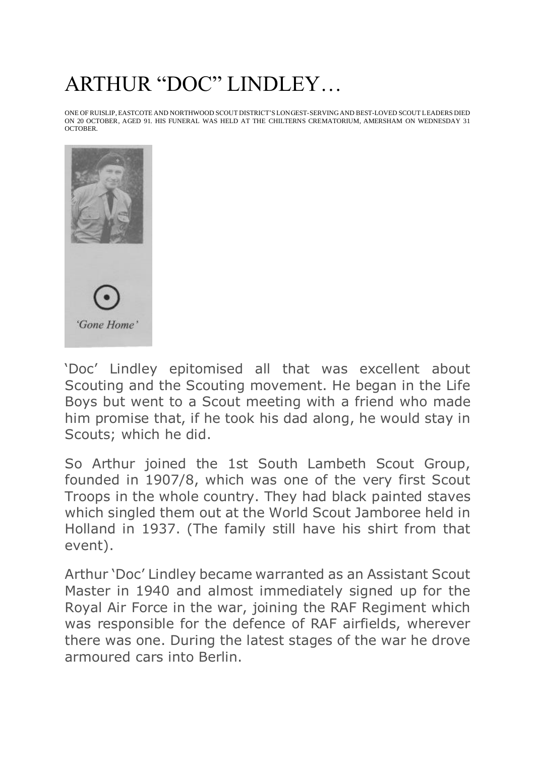## ARTHUR "DOC" LINDLEY…

ONE OF RUISLIP, EASTCOTE AND NORTHWOOD SCOUT DISTRICT'S LONGEST-SERVING AND BEST-LOVED SCOUT LEADERS DIED ON 20 OCTOBER, AGED 91. HIS FUNERAL WAS HELD AT THE CHILTERNS CREMATORIUM, AMERSHAM ON WEDNESDAY 31 OCTOBER.



'Doc' Lindley epitomised all that was excellent about Scouting and the Scouting movement. He began in the Life Boys but went to a Scout meeting with a friend who made him promise that, if he took his dad along, he would stay in Scouts; which he did.

So Arthur joined the 1st South Lambeth Scout Group, founded in 1907/8, which was one of the very first Scout Troops in the whole country. They had black painted staves which singled them out at the World Scout Jamboree held in Holland in 1937. (The family still have his shirt from that event).

Arthur 'Doc' Lindley became warranted as an Assistant Scout Master in 1940 and almost immediately signed up for the Royal Air Force in the war, joining the RAF Regiment which was responsible for the defence of RAF airfields, wherever there was one. During the latest stages of the war he drove armoured cars into Berlin.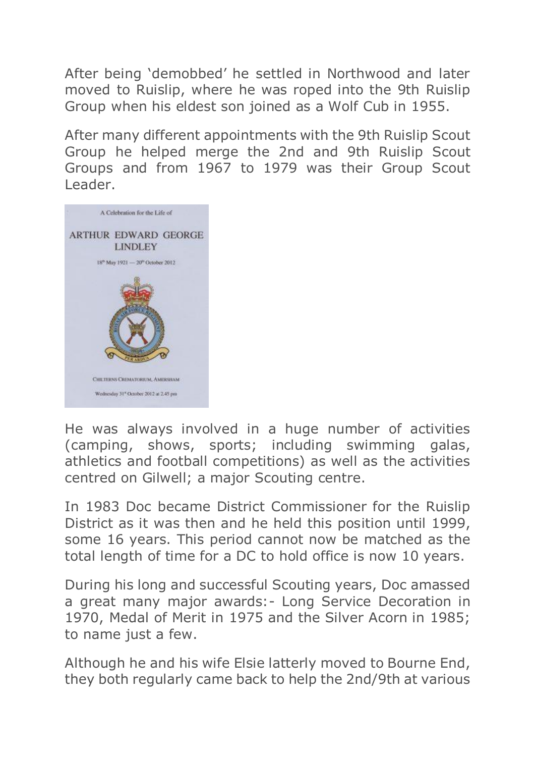After being 'demobbed' he settled in Northwood and later moved to Ruislip, where he was roped into the 9th Ruislip Group when his eldest son joined as a Wolf Cub in 1955.

After many different appointments with the 9th Ruislip Scout Group he helped merge the 2nd and 9th Ruislip Scout Groups and from 1967 to 1979 was their Group Scout Leader.



He was always involved in a huge number of activities (camping, shows, sports; including swimming galas, athletics and football competitions) as well as the activities centred on Gilwell; a major Scouting centre.

In 1983 Doc became District Commissioner for the Ruislip District as it was then and he held this position until 1999, some 16 years. This period cannot now be matched as the total length of time for a DC to hold office is now 10 years.

During his long and successful Scouting years, Doc amassed a great many major awards:- Long Service Decoration in 1970, Medal of Merit in 1975 and the Silver Acorn in 1985; to name just a few.

Although he and his wife Elsie latterly moved to Bourne End, they both regularly came back to help the 2nd/9th at various